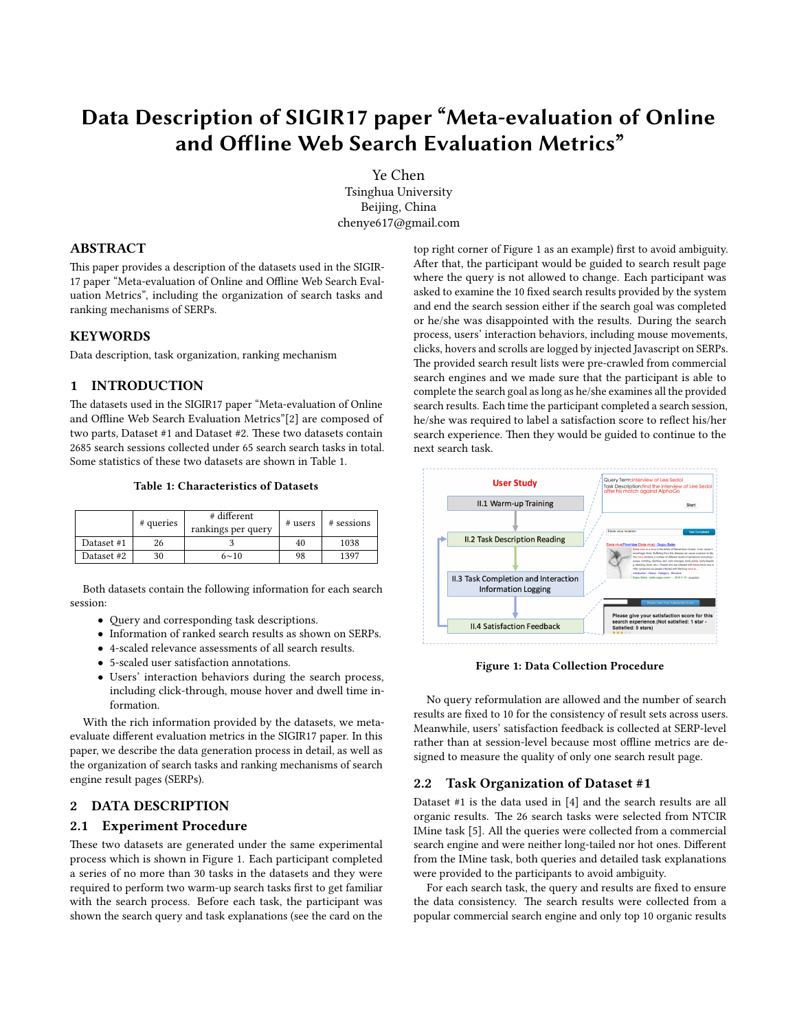# Data Description of SIGIR17 paper "Meta-evaluation of Online and Offline Web Search Evaluation Metrics"

Ye Chen

Tsinghua University Beijing, China chenye617@gmail.com

## ABSTRACT

This paper provides a description of the datasets used in the SIGIR-17 paper "Meta-evaluation of Online and Offline Web Search Evaluation Metrics", including the organization of search tasks and ranking mechanisms of SERPs.

## **KEYWORDS**

Data description, task organization, ranking mechanism

# 1 INTRODUCTION

The datasets used in the SIGIR17 paper "Meta-evaluation of Online and Offline Web Search Evaluation Metrics"[\[2\]](#page-2-0) are composed of two parts, Dataset #1 and Dataset #2. These two datasets contain 2685 search sessions collected under 65 search search tasks in total. Some statistics of these two datasets are shown in Table 1.

#### Table 1: Characteristics of Datasets

|            | # queries | # different<br>rankings per query | # users | # sessions |
|------------|-----------|-----------------------------------|---------|------------|
| Dataset #1 | 26        |                                   | 40      | 1038       |
| Dataset #2 | 30        | $6 \sim 10$                       | 98      | 1397       |

Both datasets contain the following information for each search session:

- Query and corresponding task descriptions.
- Information of ranked search results as shown on SERPs.
- 4-scaled relevance assessments of all search results.
- 5-scaled user satisfaction annotations.
- Users' interaction behaviors during the search process, including click-through, mouse hover and dwell time information.

With the rich information provided by the datasets, we metaevaluate different evaluation metrics in the SIGIR17 paper. In this paper, we describe the data generation process in detail, as well as the organization of search tasks and ranking mechanisms of search engine result pages (SERPs).

# 2 DATA DESCRIPTION

# 2.1 Experiment Procedure

These two datasets are generated under the same experimental process which is shown in Figure 1. Each participant completed a series of no more than 30 tasks in the datasets and they were required to perform two warm-up search tasks first to get familiar with the search process. Before each task, the participant was shown the search query and task explanations (see the card on the top right corner of Figure 1 as an example) first to avoid ambiguity. After that, the participant would be guided to search result page where the query is not allowed to change. Each participant was asked to examine the 10 fixed search results provided by the system and end the search session either if the search goal was completed or he/she was disappointed with the results. During the search process, users' interaction behaviors, including mouse movements, clicks, hovers and scrolls are logged by injected Javascript on SERPs. The provided search result lists were pre-crawled from commercial search engines and we made sure that the participant is able to complete the search goal as long as he/she examines all the provided search results. Each time the participant completed a search session, he/she was required to label a satisfaction score to reflect his/her search experience. Then they would be guided to continue to the next search task.



Figure 1: Data Collection Procedure

No query reformulation are allowed and the number of search results are fixed to 10 for the consistency of result sets across users. Meanwhile, users' satisfaction feedback is collected at SERP-level rather than at session-level because most offline metrics are designed to measure the quality of only one search result page.

#### 2.2 Task Organization of Dataset #1

Dataset #1 is the data used in [\[4\]](#page-2-1) and the search results are all organic results. The 26 search tasks were selected from NTCIR IMine task [\[5\]](#page-2-2). All the queries were collected from a commercial search engine and were neither long-tailed nor hot ones. Different from the IMine task, both queries and detailed task explanations were provided to the participants to avoid ambiguity.

For each search task, the query and results are fixed to ensure the data consistency. The search results were collected from a popular commercial search engine and only top 10 organic results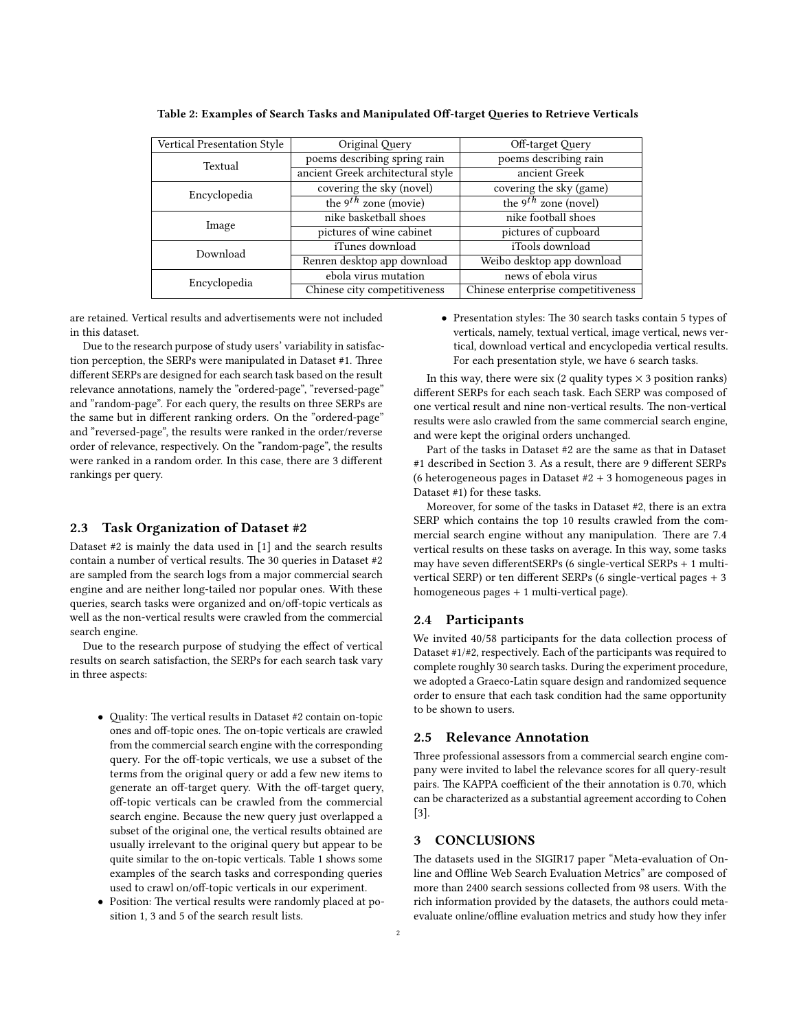| Vertical Presentation Style | Original Query                    | Off-target Query                   |  |
|-----------------------------|-----------------------------------|------------------------------------|--|
| Textual                     | poems describing spring rain      | poems describing rain              |  |
|                             | ancient Greek architectural style | ancient Greek                      |  |
| Encyclopedia                | covering the sky (novel)          | covering the sky (game)            |  |
|                             | the 9 <sup>th</sup> zone (movie)  | the 9 <sup>th</sup> zone (novel)   |  |
| Image                       | nike basketball shoes             | nike football shoes                |  |
|                             | pictures of wine cabinet          | pictures of cupboard               |  |
| Download                    | iTunes download                   | iTools download                    |  |
|                             | Renren desktop app download       | Weibo desktop app download         |  |
| Encyclopedia                | ebola virus mutation              | news of ebola virus                |  |
|                             | Chinese city competitiveness      | Chinese enterprise competitiveness |  |

Table 2: Examples of Search Tasks and Manipulated Off-target Oueries to Retrieve Verticals

are retained. Vertical results and advertisements were not included in this dataset.

Due to the research purpose of study users' variability in satisfaction perception, the SERPs were manipulated in Dataset #1. Three different SERPs are designed for each search task based on the result relevance annotations, namely the "ordered-page", "reversed-page" and "random-page". For each query, the results on three SERPs are the same but in different ranking orders. On the "ordered-page" and "reversed-page", the results were ranked in the order/reverse order of relevance, respectively. On the "random-page", the results were ranked in a random order. In this case, there are 3 different rankings per query.

#### 2.3 Task Organization of Dataset #2

Dataset #2 is mainly the data used in [\[1\]](#page-2-3) and the search results contain a number of vertical results. The 30 queries in Dataset  $#2$ are sampled from the search logs from a major commercial search engine and are neither long-tailed nor popular ones. With these queries, search tasks were organized and on/off-topic verticals as well as the non-vertical results were crawled from the commercial search engine.

Due to the research purpose of studying the effect of vertical results on search satisfaction, the SERPs for each search task vary in three aspects:

- Quality: The vertical results in Dataset #2 contain on-topic ones and off-topic ones. The on-topic verticals are crawled from the commercial search engine with the corresponding query. For the off-topic verticals, we use a subset of the terms from the original query or add a few new items to generate an off-target query. With the off-target query, off-topic verticals can be crawled from the commercial search engine. Because the new query just overlapped a subset of the original one, the vertical results obtained are usually irrelevant to the original query but appear to be quite similar to the on-topic verticals. Table 1 shows some examples of the search tasks and corresponding queries used to crawl on/off-topic verticals in our experiment.
- Position: The vertical results were randomly placed at position 1, 3 and 5 of the search result lists.

• Presentation styles: The 30 search tasks contain 5 types of verticals, namely, textual vertical, image vertical, news vertical, download vertical and encyclopedia vertical results. For each presentation style, we have 6 search tasks.

In this way, there were six (2 quality types  $\times$  3 position ranks) different SERPs for each seach task. Each SERP was composed of one vertical result and nine non-vertical results. The non-vertical results were aslo crawled from the same commercial search engine, and were kept the original orders unchanged.

Part of the tasks in Dataset #2 are the same as that in Dataset #1 described in Section 3. As a result, there are 9 different SERPs (6 heterogeneous pages in Dataset  $#2 + 3$  homogeneous pages in Dataset #1) for these tasks.

Moreover, for some of the tasks in Dataset #2, there is an extra SERP which contains the top 10 results crawled from the commercial search engine without any manipulation. There are 7.4 vertical results on these tasks on average. In this way, some tasks may have seven different SERPs (6 single-vertical SERPs  $+$  1 multivertical SERP) or ten different SERPs (6 single-vertical pages  $+3$ homogeneous pages + 1 multi-vertical page).

## 2.4 Participants

We invited 40/58 participants for the data collection process of Dataset #1/#2, respectively. Each of the participants was required to complete roughly 30 search tasks. During the experiment procedure, we adopted a Graeco-Latin square design and randomized sequence order to ensure that each task condition had the same opportunity to be shown to users.

#### 2.5 Relevance Annotation

Three professional assessors from a commercial search engine company were invited to label the relevance scores for all query-result pairs. The KAPPA coefficient of the their annotation is 0.70, which can be characterized as a substantial agreement according to Cohen [\[3\]](#page-2-4).

#### 3 CONCLUSIONS

The datasets used in the SIGIR17 paper "Meta-evaluation of Online and Offline Web Search Evaluation Metrics" are composed of more than 2400 search sessions collected from 98 users. With the rich information provided by the datasets, the authors could metaevaluate online/offline evaluation metrics and study how they infer